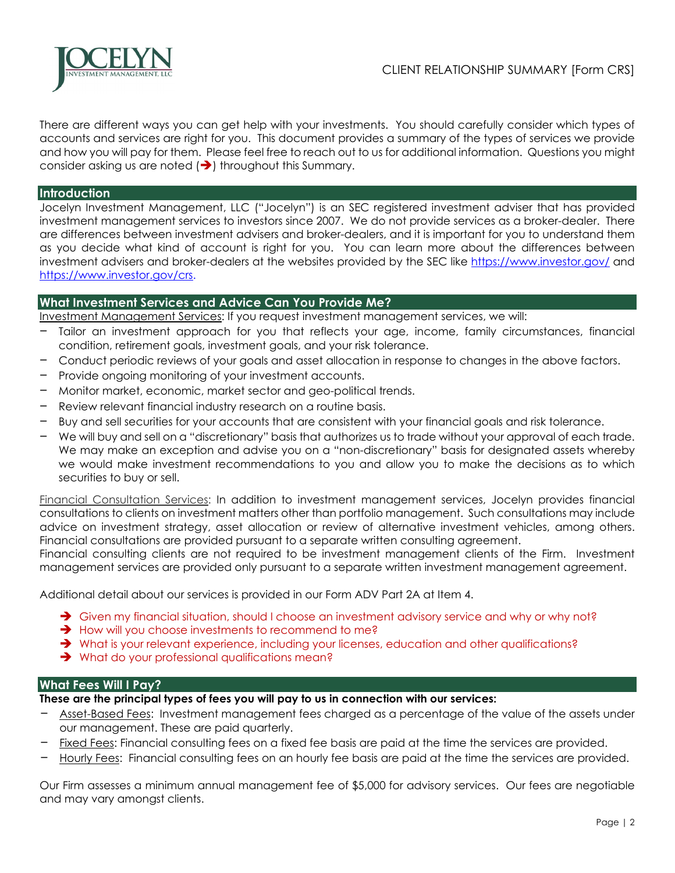

There are different ways you can get help with your investments. You should carefully consider which types of accounts and services are right for you. This document provides a summary of the types of services we provide and how you will pay for them. Please feel free to reach out to us for additional information. Questions you might consider asking us are noted  $(\rightarrow)$  throughout this Summary.

## **Introduction**

Jocelyn Investment Management, LLC ("Jocelyn") is an SEC registered investment adviser that has provided investment management services to investors since 2007. We do not provide services as a broker-dealer. There are differences between investment advisers and broker-dealers, and it is important for you to understand them as you decide what kind of account is right for you. You can learn more about the differences between investment advisers and broker-dealers at the websites provided by the SEC like https://www.investor.gov/ and https://www.investor.gov/crs.

### **What Investment Services and Advice Can You Provide Me?**

Investment Management Services: If you request investment management services, we will:

- Tailor an investment approach for you that reflects your age, income, family circumstances, financial condition, retirement goals, investment goals, and your risk tolerance.
- Conduct periodic reviews of your goals and asset allocation in response to changes in the above factors.
- Provide ongoing monitoring of your investment accounts.
- Monitor market, economic, market sector and geo-political trends.
- Review relevant financial industry research on a routine basis.
- Buy and sell securities for your accounts that are consistent with your financial goals and risk tolerance.
- We will buy and sell on a "discretionary" basis that authorizes us to trade without your approval of each trade. We may make an exception and advise you on a "non-discretionary" basis for designated assets whereby we would make investment recommendations to you and allow you to make the decisions as to which securities to buy or sell.

Financial Consultation Services: In addition to investment management services, Jocelyn provides financial consultations to clients on investment matters other than portfolio management. Such consultations may include advice on investment strategy, asset allocation or review of alternative investment vehicles, among others. Financial consultations are provided pursuant to a separate written consulting agreement.

Financial consulting clients are not required to be investment management clients of the Firm. Investment management services are provided only pursuant to a separate written investment management agreement.

Additional detail about our services is provided in our Form ADV Part 2A at Item 4.

- Given my financial situation, should I choose an investment advisory service and why or why not?
- $\rightarrow$  How will you choose investments to recommend to me?
- What is your relevant experience, including your licenses, education and other qualifications?
- **→** What do your professional qualifications mean?

# **What Fees Will I Pay?**

**These are the principal types of fees you will pay to us in connection with our services:** 

- Asset-Based Fees: Investment management fees charged as a percentage of the value of the assets under our management. These are paid quarterly.
- Fixed Fees: Financial consulting fees on a fixed fee basis are paid at the time the services are provided.
- Hourly Fees: Financial consulting fees on an hourly fee basis are paid at the time the services are provided.

Our Firm assesses a minimum annual management fee of \$5,000 for advisory services. Our fees are negotiable and may vary amongst clients.